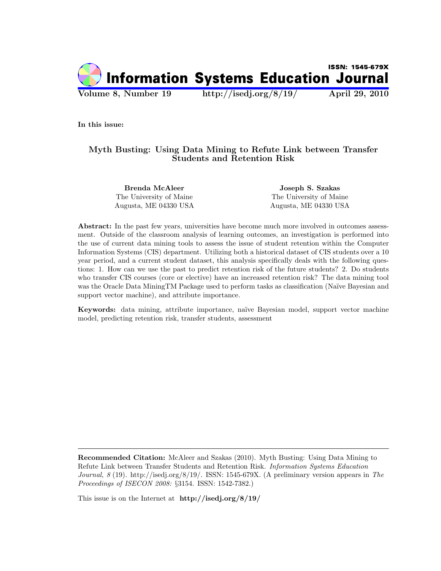

In this issue:

# Myth Busting: Using Data Mining to Refute Link between Transfer Students and Retention Risk

The University of Maine The University of Maine Augusta, ME 04330 USA Augusta, ME 04330 USA

Brenda McAleer Joseph S. Szakas

Abstract: In the past few years, universities have become much more involved in outcomes assessment. Outside of the classroom analysis of learning outcomes, an investigation is performed into the use of current data mining tools to assess the issue of student retention within the Computer Information Systems (CIS) department. Utilizing both a historical dataset of CIS students over a 10 year period, and a current student dataset, this analysis specifically deals with the following questions: 1. How can we use the past to predict retention risk of the future students? 2. Do students who transfer CIS courses (core or elective) have an increased retention risk? The data mining tool was the Oracle Data MiningTM Package used to perform tasks as classification (Naïve Bayesian and support vector machine), and attribute importance.

Keywords: data mining, attribute importance, na¨ıve Bayesian model, support vector machine model, predicting retention risk, transfer students, assessment

Recommended Citation: McAleer and Szakas (2010). Myth Busting: Using Data Mining to Refute Link between Transfer Students and Retention Risk. Information Systems Education Journal,  $8$  (19). http://isedj.org/8/19/. ISSN: 1545-679X. (A preliminary version appears in The Proceedings of ISECON 2008: §3154. ISSN: 1542-7382.)

This issue is on the Internet at http://isedj.org/8/19/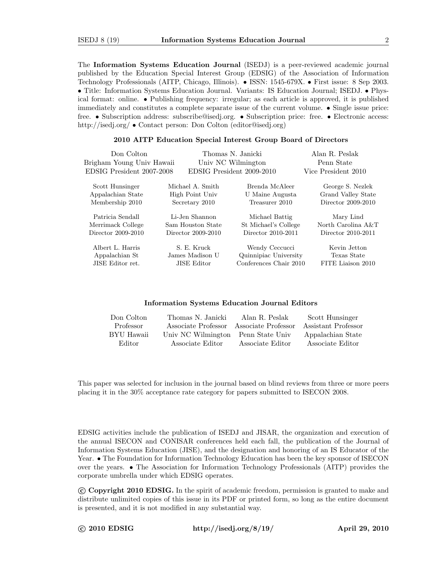The Information Systems Education Journal (ISEDJ) is a peer-reviewed academic journal published by the Education Special Interest Group (EDSIG) of the Association of Information Technology Professionals (AITP, Chicago, Illinois). • ISSN: 1545-679X. • First issue: 8 Sep 2003. • Title: Information Systems Education Journal. Variants: IS Education Journal; ISEDJ. • Physical format: online. • Publishing frequency: irregular; as each article is approved, it is published immediately and constitutes a complete separate issue of the current volume. • Single issue price: free. • Subscription address: subscribe@isedj.org. • Subscription price: free. • Electronic access: http://isedj.org/ • Contact person: Don Colton (editor@isedj.org)

#### 2010 AITP Education Special Interest Group Board of Directors

| Don Colton<br>Brigham Young Univ Hawaii<br>EDSIG President 2007-2008 |                                                      | Thomas N. Janicki<br>Univ NC Wilmington<br>EDSIG President 2009-2010 | Alan R. Peslak<br>Penn State<br>Vice President 2010 |
|----------------------------------------------------------------------|------------------------------------------------------|----------------------------------------------------------------------|-----------------------------------------------------|
| Scott Hunsinger<br>Appalachian State                                 | Michael A. Smith<br>High Point Univ                  | Brenda McAleer<br>U Maine Augusta                                    | George S. Nezlek<br>Grand Valley State              |
| Membership 2010                                                      | Secretary 2010                                       | Treasurer 2010                                                       | Director 2009-2010                                  |
| Patricia Sendall                                                     | Li-Jen Shannon                                       | Michael Battig                                                       | Mary Lind                                           |
| Merrimack College                                                    | Sam Houston State                                    | St Michael's College                                                 | North Carolina A&T                                  |
| Director 2009-2010                                                   | Director 2009-2010                                   | Director 2010-2011                                                   | Director 2010-2011                                  |
| Albert L. Harris<br>Appalachian St<br>JISE Editor ret.               | S. E. Kruck<br>James Madison U<br><b>JISE Editor</b> | Wendy Ceccucci<br>Quinnipiac University<br>Conferences Chair 2010    | Kevin Jetton<br>Texas State<br>FITE Liaison 2010    |

#### Information Systems Education Journal Editors

| Don Colton | Thomas N. Janicki   | Alan R. Peslak      | Scott Hunsinger     |
|------------|---------------------|---------------------|---------------------|
| Professor  | Associate Professor | Associate Professor | Assistant Professor |
| BYU Hawaii | Univ NC Wilmington  | Penn State Univ     | Appalachian State   |
| Editor     | Associate Editor    | Associate Editor    | Associate Editor    |

This paper was selected for inclusion in the journal based on blind reviews from three or more peers placing it in the 30% acceptance rate category for papers submitted to ISECON 2008.

EDSIG activities include the publication of ISEDJ and JISAR, the organization and execution of the annual ISECON and CONISAR conferences held each fall, the publication of the Journal of Information Systems Education (JISE), and the designation and honoring of an IS Educator of the Year. • The Foundation for Information Technology Education has been the key sponsor of ISECON over the years. • The Association for Information Technology Professionals (AITP) provides the corporate umbrella under which EDSIG operates.

 c Copyright 2010 EDSIG. In the spirit of academic freedom, permission is granted to make and distribute unlimited copies of this issue in its PDF or printed form, so long as the entire document is presented, and it is not modified in any substantial way.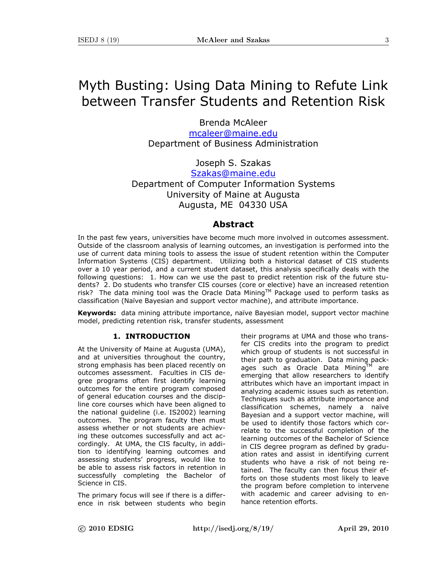# Myth Busting: Using Data Mining to Refute Link between Transfer Students and Retention Risk

Brenda McAleer mcaleer@maine.edu Department of Business Administration

Joseph S. Szakas

Szakas@maine.edu Department of Computer Information Systems University of Maine at Augusta Augusta, ME 04330 USA

## **Abstract**

In the past few years, universities have become much more involved in outcomes assessment. Outside of the classroom analysis of learning outcomes, an investigation is performed into the use of current data mining tools to assess the issue of student retention within the Computer Information Systems (CIS) department. Utilizing both a historical dataset of CIS students over a 10 year period, and a current student dataset, this analysis specifically deals with the following questions: 1. How can we use the past to predict retention risk of the future students? 2. Do students who transfer CIS courses (core or elective) have an increased retention risk? The data mining tool was the Oracle Data Mining™ Package used to perform tasks as classification (Naïve Bayesian and support vector machine), and attribute importance.

**Keywords:** data mining attribute importance, naïve Bayesian model, support vector machine model, predicting retention risk, transfer students, assessment

## **1. INTRODUCTION**

At the University of Maine at Augusta (UMA), and at universities throughout the country, strong emphasis has been placed recently on outcomes assessment. Faculties in CIS degree programs often first identify learning outcomes for the entire program composed of general education courses and the discipline core courses which have been aligned to the national guideline (i.e. IS2002) learning outcomes. The program faculty then must assess whether or not students are achieving these outcomes successfully and act accordingly. At UMA, the CIS faculty, in addition to identifying learning outcomes and assessing students' progress, would like to be able to assess risk factors in retention in successfully completing the Bachelor of Science in CIS.

The primary focus will see if there is a difference in risk between students who begin their programs at UMA and those who transfer CIS credits into the program to predict which group of students is not successful in their path to graduation. Data mining packages such as Oracle Data Mining<sup>TM</sup> are emerging that allow researchers to identify attributes which have an important impact in analyzing academic issues such as retention. Techniques such as attribute importance and classification schemes, namely a naïve Bayesian and a support vector machine, will be used to identify those factors which correlate to the successful completion of the learning outcomes of the Bachelor of Science in CIS degree program as defined by graduation rates and assist in identifying current students who have a risk of not being retained. The faculty can then focus their efforts on those students most likely to leave the program before completion to intervene with academic and career advising to enhance retention efforts.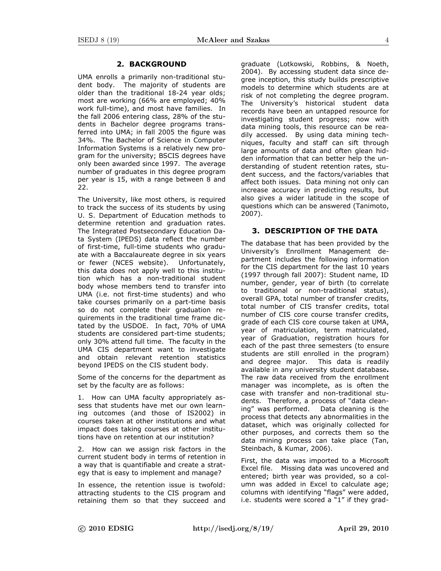## **2. BACKGROUND**

UMA enrolls a primarily non-traditional student body. The majority of students are older than the traditional 18-24 year olds; most are working (66% are employed; 40% work full-time), and most have families. In the fall 2006 entering class, 28% of the students in Bachelor degree programs transferred into UMA; in fall 2005 the figure was 34%. The Bachelor of Science in Computer Information Systems is a relatively new program for the university; BSCIS degrees have only been awarded since 1997. The average number of graduates in this degree program per year is 15, with a range between 8 and 22.

The University, like most others, is required to track the success of its students by using U. S. Department of Education methods to determine retention and graduation rates. The Integrated Postsecondary Education Data System (IPEDS) data reflect the number of first-time, full-time students who graduate with a Baccalaureate degree in six years or fewer (NCES website). Unfortunately, this data does not apply well to this institution which has a non-traditional student body whose members tend to transfer into UMA (i.e. not first-time students) and who take courses primarily on a part-time basis so do not complete their graduation requirements in the traditional time frame dictated by the USDOE. In fact, 70% of UMA students are considered part-time students; only 30% attend full time. The faculty in the UMA CIS department want to investigate and obtain relevant retention statistics beyond IPEDS on the CIS student body.

Some of the concerns for the department as set by the faculty are as follows:

1. How can UMA faculty appropriately assess that students have met our own learning outcomes (and those of IS2002) in courses taken at other institutions and what impact does taking courses at other institutions have on retention at our institution?

2. How can we assign risk factors in the current student body in terms of retention in a way that is quantifiable and create a strategy that is easy to implement and manage?

In essence, the retention issue is twofold: attracting students to the CIS program and retaining them so that they succeed and graduate (Lotkowski, Robbins, & Noeth, 2004). By accessing student data since degree inception, this study builds prescriptive models to determine which students are at risk of not completing the degree program. The University's historical student data records have been an untapped resource for investigating student progress; now with data mining tools, this resource can be readily accessed. By using data mining techniques, faculty and staff can sift through large amounts of data and often glean hidden information that can better help the understanding of student retention rates, student success, and the factors/variables that affect both issues. Data mining not only can increase accuracy in predicting results, but also gives a wider latitude in the scope of questions which can be answered (Tanimoto, 2007).

## **3. DESCRIPTION OF THE DATA**

The database that has been provided by the University's Enrollment Management department includes the following information for the CIS department for the last 10 years (1997 through fall 2007): Student name, ID number, gender, year of birth (to correlate to traditional or non-traditional status), overall GPA, total number of transfer credits, total number of CIS transfer credits, total number of CIS core course transfer credits, grade of each CIS core course taken at UMA, year of matriculation, term matriculated, year of Graduation, registration hours for each of the past three semesters (to ensure students are still enrolled in the program) and degree major. This data is readily available in any university student database**.**  The raw data received from the enrollment manager was incomplete, as is often the case with transfer and non-traditional students. Therefore, a process of "data cleaning" was performed. Data cleaning is the process that detects any abnormalities in the dataset, which was originally collected for other purposes, and corrects them so the data mining process can take place (Tan, Steinbach, & Kumar, 2006).

First, the data was imported to a Microsoft Excel file. Missing data was uncovered and entered; birth year was provided, so a column was added in Excel to calculate age; columns with identifying "flags" were added, i.e. students were scored a "1" if they grad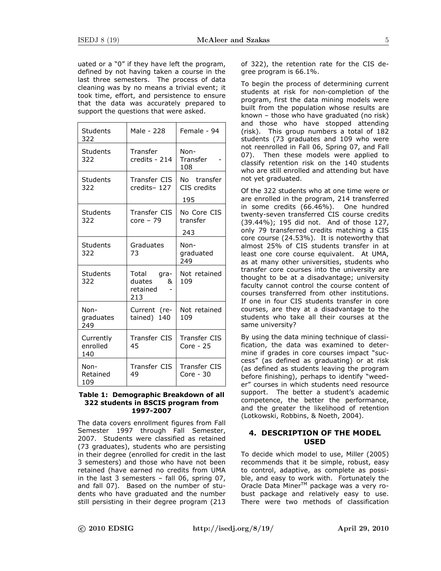uated or a "0" if they have left the program, defined by not having taken a course in the last three semesters. The process of data cleaning was by no means a trivial event; it took time, effort, and persistence to ensure that the data was accurately prepared to support the questions that were asked.

| Students<br>322              | Male - 228                                   | Female - 94                       |
|------------------------------|----------------------------------------------|-----------------------------------|
| Students<br>322              | Transfer<br>credits - 214                    | Non-<br>Transfer<br>108           |
| Students<br>322              | Transfer CIS<br>credits-127                  | No transfer<br>CIS credits<br>195 |
| Students<br>322              | Transfer CIS<br>$core - 79$                  | No Core CIS<br>transfer<br>243    |
| <b>Students</b><br>322       | Graduates<br>73                              | Non-<br>graduated<br>249          |
| Students<br>322              | Total gra-<br>duates<br>&<br>retained<br>213 | Not retained<br>109               |
| Non-<br>graduates<br>249     | Current (re-<br>tained) 140                  | Not retained<br>109               |
| Currently<br>enrolled<br>140 | Transfer CIS<br>45                           | <b>Transfer CIS</b><br>Core - 25  |
| Non-<br>Retained<br>109      | Transfer CIS<br>49                           | <b>Transfer CIS</b><br>Core - 30  |

#### **Table 1: Demographic Breakdown of all 322 students in BSCIS program from 1997-2007**

The data covers enrollment figures from Fall Semester 1997 through Fall Semester, 2007. Students were classified as retained (73 graduates), students who are persisting in their degree (enrolled for credit in the last 3 semesters) and those who have not been retained (have earned no credits from UMA in the last 3 semesters – fall 06, spring 07, and fall 07). Based on the number of students who have graduated and the number still persisting in their degree program (213 of 322), the retention rate for the CIS degree program is 66.1%.

To begin the process of determining current students at risk for non-completion of the program, first the data mining models were built from the population whose results are known – those who have graduated (no risk) and those who have stopped attending (risk). This group numbers a total of 182 students (73 graduates and 109 who were not reenrolled in Fall 06, Spring 07, and Fall 07). Then these models were applied to classify retention risk on the 140 students who are still enrolled and attending but have not yet graduated.

Of the 322 students who at one time were or are enrolled in the program, 214 transferred in some credits (66.46%). One hundred twenty-seven transferred CIS course credits (39.44%); 195 did not. And of those 127, only 79 transferred credits matching a CIS core course (24.53%). It is noteworthy that almost 25% of CIS students transfer in at least one core course equivalent. At UMA, as at many other universities, students who transfer core courses into the university are thought to be at a disadvantage; university faculty cannot control the course content of courses transferred from other institutions. If one in four CIS students transfer in core courses, are they at a disadvantage to the students who take all their courses at the same university?

By using the data mining technique of classification, the data was examined to determine if grades in core courses impact "success" (as defined as graduating) or at risk (as defined as students leaving the program before finishing), perhaps to identify "weeder" courses in which students need resource support. The better a student's academic competence, the better the performance, and the greater the likelihood of retention (Lotkowski, Robbins, & Noeth, 2004).

# **4. DESCRIPTION OF THE MODEL USED**

To decide which model to use, Miller (2005) recommends that it be simple, robust, easy to control, adaptive, as complete as possible, and easy to work with. Fortunately the Oracle Data Miner™ package was a very robust package and relatively easy to use. There were two methods of classification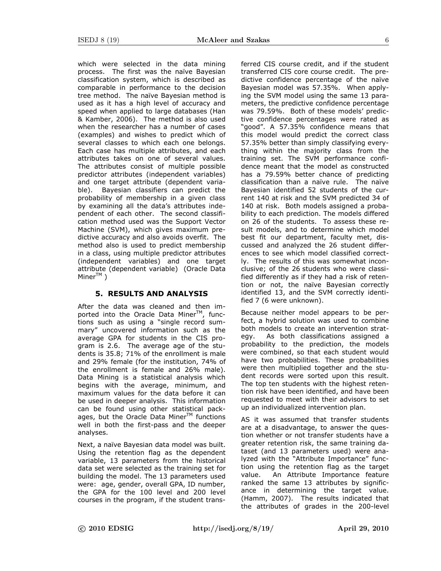which were selected in the data mining process. The first was the naïve Bayesian classification system, which is described as comparable in performance to the decision tree method. The naïve Bayesian method is used as it has a high level of accuracy and speed when applied to large databases (Han & Kamber, 2006). The method is also used when the researcher has a number of cases (examples) and wishes to predict which of several classes to which each one belongs. Each case has multiple attributes, and each attributes takes on one of several values. The attributes consist of multiple possible predictor attributes (independent variables) and one target attribute (dependent variable). Bayesian classifiers can predict the probability of membership in a given class by examining all the data's attributes independent of each other. The second classification method used was the Support Vector Machine (SVM), which gives maximum predictive accuracy and also avoids overfit. The method also is used to predict membership in a class, using multiple predictor attributes (independent variables) and one target attribute (dependent variable) (Oracle Data  $Miner^{TM}$ )

## **5. RESULTS AND ANALYSIS**

After the data was cleaned and then imported into the Oracle Data Miner<sup>TM</sup>, functions such as using a "single record summary" uncovered information such as the average GPA for students in the CIS program is 2.6. The average age of the students is 35.8; 71% of the enrollment is male and 29% female (for the institution, 74% of the enrollment is female and 26% male). Data Mining is a statistical analysis which begins with the average, minimum, and maximum values for the data before it can be used in deeper analysis. This information can be found using other statistical packages, but the Oracle Data Miner $TM$  functions well in both the first-pass and the deeper analyses.

Next, a naïve Bayesian data model was built. Using the retention flag as the dependent variable, 13 parameters from the historical data set were selected as the training set for building the model. The 13 parameters used were: age, gender, overall GPA, ID number, the GPA for the 100 level and 200 level courses in the program, if the student transferred CIS course credit, and if the student transferred CIS core course credit. The predictive confidence percentage of the naïve Bayesian model was 57.35%. When applying the SVM model using the same 13 parameters, the predictive confidence percentage was 79.59%. Both of these models' predictive confidence percentages were rated as "good". A 57.35% confidence means that this model would predict the correct class 57.35% better than simply classifying everything within the majority class from the training set. The SVM performance confidence meant that the model as constructed has a 79.59% better chance of predicting classification than a naïve rule. The naïve Bayesian identified 52 students of the current 140 at risk and the SVM predicted 34 of 140 at risk. Both models assigned a probability to each prediction. The models differed on 26 of the students. To assess these result models, and to determine which model best fit our department, faculty met, discussed and analyzed the 26 student differences to see which model classified correctly. The results of this was somewhat inconclusive; of the 26 students who were classified differently as if they had a risk of retention or not, the naïve Bayesian correctly identified 13, and the SVM correctly identified 7 (6 were unknown).

Because neither model appears to be perfect, a hybrid solution was used to combine both models to create an intervention strategy. As both classifications assigned a probability to the prediction, the models were combined, so that each student would have two probabilities. These probabilities were then multiplied together and the student records were sorted upon this result. The top ten students with the highest retention risk have been identified, and have been requested to meet with their advisors to set up an individualized intervention plan.

AS it was assumed that transfer students are at a disadvantage, to answer the question whether or not transfer students have a greater retention risk, the same training dataset (and 13 parameters used) were analyzed with the "Attribute Importance" function using the retention flag as the target value. An Attribute Importance feature ranked the same 13 attributes by significance in determining the target value. (Hamm, 2007). The results indicated that the attributes of grades in the 200-level